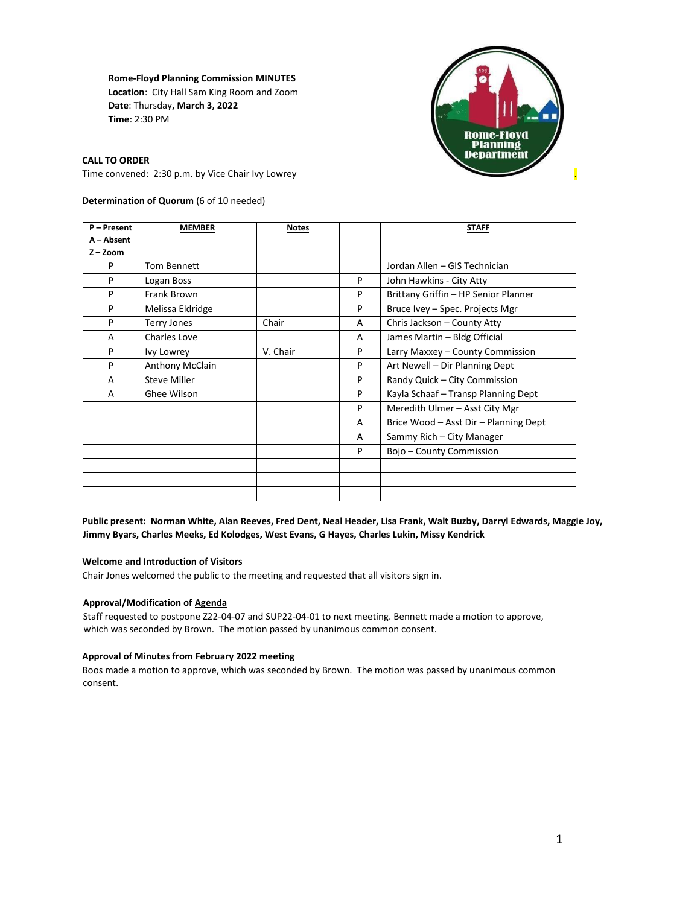**Rome-Floyd Planning Commission MINUTES Location**: City Hall Sam King Room and Zoom **Date**: Thursday**, March 3, 2022 Time**: 2:30 PM



**CALL TO ORDER** 

Time convened: 2:30 p.m. by Vice Chair Ivy Lowrey .

## **Determination of Quorum** (6 of 10 needed)

| P-Present   | <b>MEMBER</b>       | <b>Notes</b> |   | <b>STAFF</b>                          |
|-------------|---------------------|--------------|---|---------------------------------------|
| A - Absent  |                     |              |   |                                       |
| $Z - Z$ oom |                     |              |   |                                       |
| P           | <b>Tom Bennett</b>  |              |   | Jordan Allen – GIS Technician         |
| P           | Logan Boss          |              | P | John Hawkins - City Atty              |
| P           | Frank Brown         |              | P | Brittany Griffin - HP Senior Planner  |
| P           | Melissa Eldridge    |              | P | Bruce Ivey – Spec. Projects Mgr       |
| P           | <b>Terry Jones</b>  | Chair        | A | Chris Jackson - County Atty           |
| A           | Charles Love        |              | A | James Martin - Bldg Official          |
| P           | Ivy Lowrey          | V. Chair     | P | Larry Maxxey - County Commission      |
| P           | Anthony McClain     |              | P | Art Newell - Dir Planning Dept        |
| A           | <b>Steve Miller</b> |              | P | Randy Quick - City Commission         |
| A           | Ghee Wilson         |              | P | Kayla Schaaf - Transp Planning Dept   |
|             |                     |              | P | Meredith Ulmer - Asst City Mgr        |
|             |                     |              | A | Brice Wood - Asst Dir - Planning Dept |
|             |                     |              | A | Sammy Rich - City Manager             |
|             |                     |              | P | Bojo - County Commission              |
|             |                     |              |   |                                       |
|             |                     |              |   |                                       |
|             |                     |              |   |                                       |

**Public present: Norman White, Alan Reeves, Fred Dent, Neal Header, Lisa Frank, Walt Buzby, Darryl Edwards, Maggie Joy, Jimmy Byars, Charles Meeks, Ed Kolodges, West Evans, G Hayes, Charles Lukin, Missy Kendrick**

#### **Welcome and Introduction of Visitors**

Chair Jones welcomed the public to the meeting and requested that all visitors sign in.

### **Approval/Modification of Agenda**

Staff requested to postpone Z22-04-07 and SUP22-04-01 to next meeting. Bennett made a motion to approve, which was seconded by Brown. The motion passed by unanimous common consent.

#### **Approval of Minutes from February 2022 meeting**

Boos made a motion to approve, which was seconded by Brown. The motion was passed by unanimous common consent.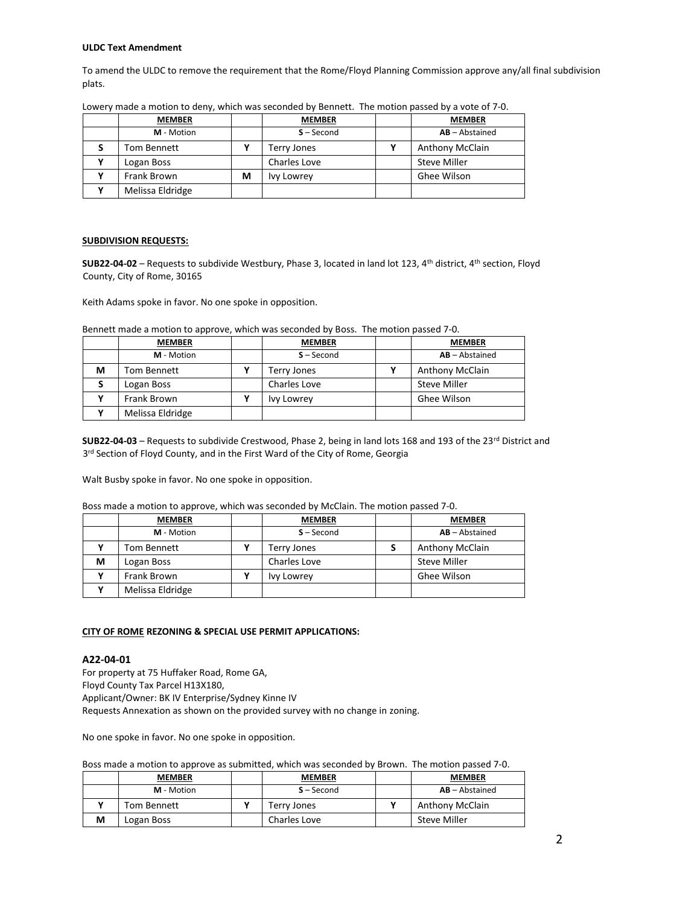#### **ULDC Text Amendment**

To amend the ULDC to remove the requirement that the Rome/Floyd Planning Commission approve any/all final subdivision plats.

|   | <b>MEMBER</b>    |   | <b>MEMBER</b> | <b>MEMBER</b>          |
|---|------------------|---|---------------|------------------------|
|   | M - Motion       |   | $S - Second$  | $AB - Abstractained$   |
| S | Tom Bennett      |   | Terry Jones   | <b>Anthony McClain</b> |
|   | Logan Boss       |   | Charles Love  | <b>Steve Miller</b>    |
|   | Frank Brown      | М | Ivy Lowrey    | Ghee Wilson            |
|   | Melissa Eldridge |   |               |                        |

Lowery made a motion to deny, which was seconded by Bennett. The motion passed by a vote of 7-0.

#### **SUBDIVISION REQUESTS:**

**SUB22-04-02** – Requests to subdivide Westbury, Phase 3, located in land lot 123, 4th district, 4th section, Floyd County, City of Rome, 30165

Keith Adams spoke in favor. No one spoke in opposition.

| Bennett made a motion to approve, which was seconded by Boss. The motion passed 7-0. |  |  |
|--------------------------------------------------------------------------------------|--|--|
|--------------------------------------------------------------------------------------|--|--|

|   | <b>MEMBER</b>    | <b>MEMBER</b>     | <b>MEMBER</b>          |
|---|------------------|-------------------|------------------------|
|   | M - Motion       | $S - Second$      | $AB - Abstractained$   |
| М | Tom Bennett      | Terry Jones       | <b>Anthony McClain</b> |
|   | Logan Boss       | Charles Love      | Steve Miller           |
|   | Frank Brown      | <b>Ivy Lowrey</b> | Ghee Wilson            |
|   | Melissa Eldridge |                   |                        |

**SUB22-04-03** – Requests to subdivide Crestwood, Phase 2, being in land lots 168 and 193 of the 23<sup>rd</sup> District and 3<sup>rd</sup> Section of Floyd County, and in the First Ward of the City of Rome, Georgia

Walt Busby spoke in favor. No one spoke in opposition.

Boss made a motion to approve, which was seconded by McClain. The motion passed 7-0.

|   | <b>MEMBER</b>    | <b>MEMBER</b> | <b>MEMBER</b>          |
|---|------------------|---------------|------------------------|
|   | M - Motion       | $S - Second$  | $AB - Abstractained$   |
|   | Tom Bennett      | Terry Jones   | <b>Anthony McClain</b> |
| м | Logan Boss       | Charles Love  | <b>Steve Miller</b>    |
|   | Frank Brown      | Ivy Lowrey    | Ghee Wilson            |
|   | Melissa Eldridge |               |                        |

#### **CITY OF ROME REZONING & SPECIAL USE PERMIT APPLICATIONS:**

### **A22-04-01**

For property at 75 Huffaker Road, Rome GA, Floyd County Tax Parcel H13X180, Applicant/Owner: BK IV Enterprise/Sydney Kinne IV Requests Annexation as shown on the provided survey with no change in zoning.

No one spoke in favor. No one spoke in opposition.

Boss made a motion to approve as submitted, which was seconded by Brown. The motion passed 7-0.

|   | <b>MEMBER</b> | <b>MEMBER</b> | <b>MEMBER</b>          |
|---|---------------|---------------|------------------------|
|   | M - Motion    | $S - Second$  | $AB - Abstractained$   |
|   | Tom Bennett   | Terry Jones   | <b>Anthony McClain</b> |
| М | Logan Boss    | Charles Love  | <b>Steve Miller</b>    |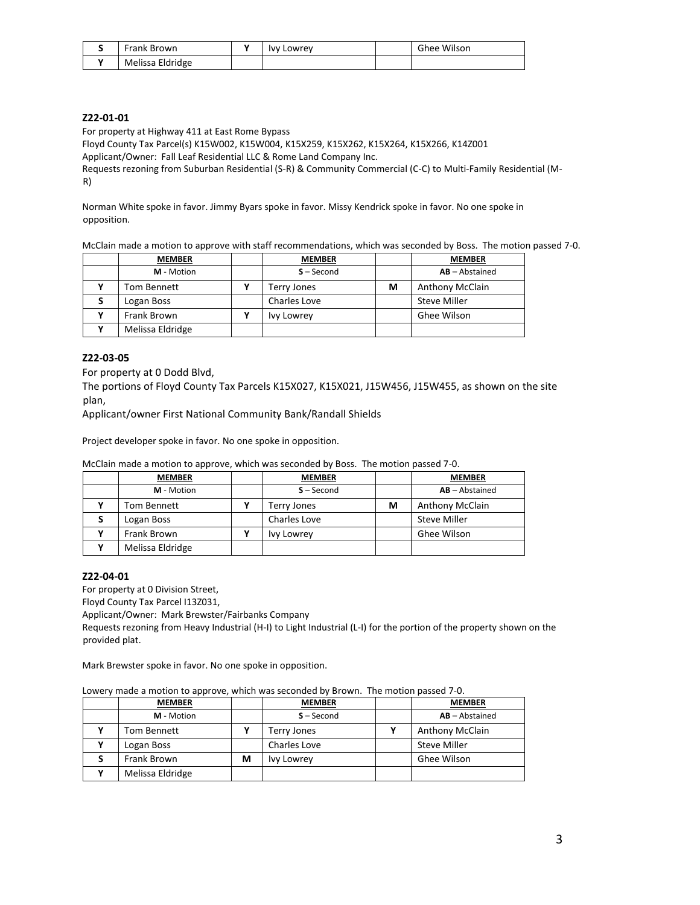|   | Frank Brown      | $\mathbf{v}$ | Ivy Lowrey | Ghee Wilson |
|---|------------------|--------------|------------|-------------|
| v | Melissa Eldridge |              |            |             |

## **Z22-01-01**

For property at Highway 411 at East Rome Bypass

Floyd County Tax Parcel(s) K15W002, K15W004, K15X259, K15X262, K15X264, K15X266, K14Z001

Applicant/Owner: Fall Leaf Residential LLC & Rome Land Company Inc.

Requests rezoning from Suburban Residential (S-R) & Community Commercial (C-C) to Multi-Family Residential (M-R)

Norman White spoke in favor. Jimmy Byars spoke in favor. Missy Kendrick spoke in favor. No one spoke in opposition.

McClain made a motion to approve with staff recommendations, which was seconded by Boss. The motion passed 7-0.

| <b>MEMBER</b>    | <b>MEMBER</b> |   | <b>MEMBER</b>          |
|------------------|---------------|---|------------------------|
| M - Motion       | $S - Second$  |   | $AB - Abstractained$   |
| Tom Bennett      | Terry Jones   | м | <b>Anthony McClain</b> |
| Logan Boss       | Charles Love  |   | <b>Steve Miller</b>    |
| Frank Brown      | Ivy Lowrey    |   | Ghee Wilson            |
| Melissa Eldridge |               |   |                        |

# **Z22-03-05**

For property at 0 Dodd Blvd,

The portions of Floyd County Tax Parcels K15X027, K15X021, J15W456, J15W455, as shown on the site plan,

Applicant/owner First National Community Bank/Randall Shields

Project developer spoke in favor. No one spoke in opposition.

McClain made a motion to approve, which was seconded by Boss. The motion passed 7-0.

| <b>MEMBER</b>    | <b>MEMBER</b>     |   | <b>MEMBER</b>          |
|------------------|-------------------|---|------------------------|
| M - Motion       | $S - Second$      |   | $AB - Abstractained$   |
| Tom Bennett      | Terry Jones       | м | <b>Anthony McClain</b> |
| Logan Boss       | Charles Love      |   | <b>Steve Miller</b>    |
| Frank Brown      | <b>Ivy Lowrey</b> |   | Ghee Wilson            |
| Melissa Eldridge |                   |   |                        |

## **Z22-04-01**

For property at 0 Division Street,

Floyd County Tax Parcel I13Z031,

Applicant/Owner: Mark Brewster/Fairbanks Company

Requests rezoning from Heavy Industrial (H-I) to Light Industrial (L-I) for the portion of the property shown on the provided plat.

Mark Brewster spoke in favor. No one spoke in opposition.

Lowery made a motion to approve, which was seconded by Brown. The motion passed 7-0.

| <b>MEMBER</b>    |   | <b>MEMBER</b> | <b>MEMBER</b>          |
|------------------|---|---------------|------------------------|
| M - Motion       |   | $S - Second$  | $AB - Abstractained$   |
| Tom Bennett      |   | Terry Jones   | <b>Anthony McClain</b> |
| Logan Boss       |   | Charles Love  | <b>Steve Miller</b>    |
| Frank Brown      | М | Ivy Lowrey    | Ghee Wilson            |
| Melissa Eldridge |   |               |                        |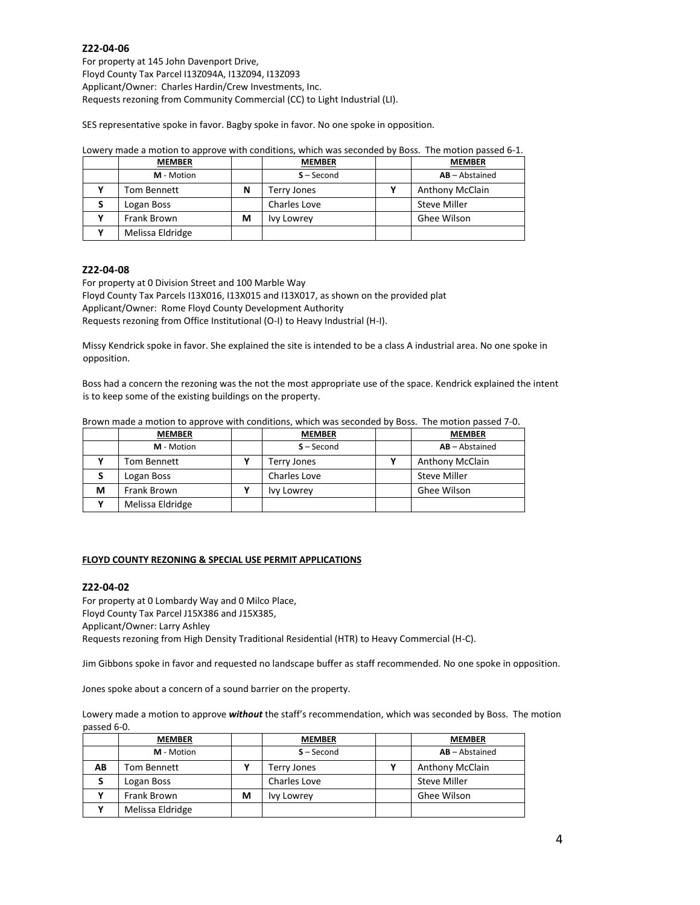### **Z22-04-06**

For property at 145 John Davenport Drive, Floyd County Tax Parcel I13Z094A, I13Z094, I13Z093 Applicant/Owner: Charles Hardin/Crew Investments, Inc. Requests rezoning from Community Commercial (CC) to Light Industrial (LI).

SES representative spoke in favor. Bagby spoke in favor. No one spoke in opposition.

|   | <b>MEMBER</b>    |   | <b>MEMBER</b> | <b>MEMBER</b>          |
|---|------------------|---|---------------|------------------------|
|   | M - Motion       |   | $S - Second$  | $AB - Abstractained$   |
|   | Tom Bennett      | N | Terry Jones   | <b>Anthony McClain</b> |
| S | Logan Boss       |   | Charles Love  | <b>Steve Miller</b>    |
|   | Frank Brown      | М | Ivy Lowrey    | Ghee Wilson            |
|   | Melissa Eldridge |   |               |                        |

#### Lowery made a motion to approve with conditions, which was seconded by Boss. The motion passed 6-1.

## **Z22-04-08**

For property at 0 Division Street and 100 Marble Way

Floyd County Tax Parcels I13X016, I13X015 and I13X017, as shown on the provided plat Applicant/Owner: Rome Floyd County Development Authority Requests rezoning from Office Institutional (O-I) to Heavy Industrial (H-I).

Missy Kendrick spoke in favor. She explained the site is intended to be a class A industrial area. No one spoke in opposition.

Boss had a concern the rezoning was the not the most appropriate use of the space. Kendrick explained the intent is to keep some of the existing buildings on the property.

| Brown made a motion to approve with conditions, which was seconded by Boss. The motion passed 7-0. |  |  |
|----------------------------------------------------------------------------------------------------|--|--|
|----------------------------------------------------------------------------------------------------|--|--|

|   | <b>MEMBER</b>    | <b>MEMBER</b>     | <b>MEMBER</b>          |
|---|------------------|-------------------|------------------------|
|   | M - Motion       | $S - Second$      | $AB - Abstractained$   |
|   | Tom Bennett      | Terry Jones       | <b>Anthony McClain</b> |
|   | Logan Boss       | Charles Love      | <b>Steve Miller</b>    |
| м | Frank Brown      | <b>Ivy Lowrey</b> | Ghee Wilson            |
|   | Melissa Eldridge |                   |                        |

### **FLOYD COUNTY REZONING & SPECIAL USE PERMIT APPLICATIONS**

#### **Z22-04-02**

For property at 0 Lombardy Way and 0 Milco Place, Floyd County Tax Parcel J15X386 and J15X385, Applicant/Owner: Larry Ashley Requests rezoning from High Density Traditional Residential (HTR) to Heavy Commercial (H-C).

Jim Gibbons spoke in favor and requested no landscape buffer as staff recommended. No one spoke in opposition.

Jones spoke about a concern of a sound barrier on the property.

Lowery made a motion to approve *without* the staff's recommendation, which was seconded by Boss. The motion passed 6-0.

|    | <b>MEMBER</b>    |   | <b>MEMBER</b>     | <b>MEMBER</b>          |
|----|------------------|---|-------------------|------------------------|
|    | M - Motion       |   | $S - Second$      | $AB - Abstractained$   |
| AB | Tom Bennett      |   | Terry Jones       | <b>Anthony McClain</b> |
|    | Logan Boss       |   | Charles Love      | <b>Steve Miller</b>    |
|    | Frank Brown      | м | <b>Ivy Lowrey</b> | Ghee Wilson            |
|    | Melissa Eldridge |   |                   |                        |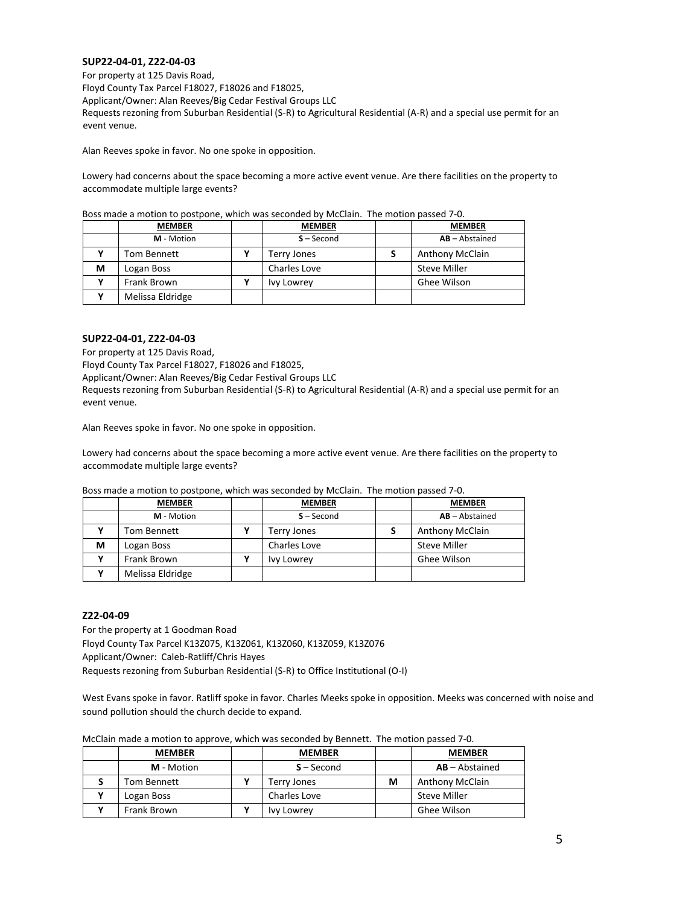## **SUP22-04-01, Z22-04-03**

For property at 125 Davis Road, Floyd County Tax Parcel F18027, F18026 and F18025, Applicant/Owner: Alan Reeves/Big Cedar Festival Groups LLC Requests rezoning from Suburban Residential (S-R) to Agricultural Residential (A-R) and a special use permit for an event venue.

Alan Reeves spoke in favor. No one spoke in opposition.

Lowery had concerns about the space becoming a more active event venue. Are there facilities on the property to accommodate multiple large events?

|   | <b>MEMBER</b>    | <b>MEMBER</b> | <b>MEMBER</b>          |
|---|------------------|---------------|------------------------|
|   | M - Motion       | $S - Second$  | $AB - Abstractained$   |
|   | Tom Bennett      | Terry Jones   | <b>Anthony McClain</b> |
| М | Logan Boss       | Charles Love  | <b>Steve Miller</b>    |
|   | Frank Brown      | Ivy Lowrey    | Ghee Wilson            |
|   | Melissa Eldridge |               |                        |

Boss made a motion to postpone, which was seconded by McClain. The motion passed 7-0.

## **SUP22-04-01, Z22-04-03**

For property at 125 Davis Road,

Floyd County Tax Parcel F18027, F18026 and F18025,

Applicant/Owner: Alan Reeves/Big Cedar Festival Groups LLC

Requests rezoning from Suburban Residential (S-R) to Agricultural Residential (A-R) and a special use permit for an event venue.

Alan Reeves spoke in favor. No one spoke in opposition.

Lowery had concerns about the space becoming a more active event venue. Are there facilities on the property to accommodate multiple large events?

Boss made a motion to postpone, which was seconded by McClain. The motion passed 7-0.

|   | <b>MEMBER</b>    | <b>MEMBER</b> | <b>MEMBER</b>          |
|---|------------------|---------------|------------------------|
|   | M - Motion       | $S - Second$  | $AB - Abstractained$   |
|   | Tom Bennett      | Terry Jones   | <b>Anthony McClain</b> |
| М | Logan Boss       | Charles Love  | Steve Miller           |
|   | Frank Brown      | Ivy Lowrey    | Ghee Wilson            |
|   | Melissa Eldridge |               |                        |

## **Z22-04-09**

For the property at 1 Goodman Road Floyd County Tax Parcel K13Z075, K13Z061, K13Z060, K13Z059, K13Z076 Applicant/Owner: Caleb-Ratliff/Chris Hayes Requests rezoning from Suburban Residential (S-R) to Office Institutional (O-I)

West Evans spoke in favor. Ratliff spoke in favor. Charles Meeks spoke in opposition. Meeks was concerned with noise and sound pollution should the church decide to expand.

| McClain made a motion to approve, which was seconded by Bennett. The motion passed 7-0. |  |  |
|-----------------------------------------------------------------------------------------|--|--|
|-----------------------------------------------------------------------------------------|--|--|

| <b>MEMBER</b> | <b>MEMBER</b>     |   | <b>MEMBER</b>          |
|---------------|-------------------|---|------------------------|
| M - Motion    | $S - Second$      |   | $AB - Abstract$        |
| Tom Bennett   | Terry Jones       | М | <b>Anthony McClain</b> |
| Logan Boss    | Charles Love      |   | Steve Miller           |
| Frank Brown   | <b>Ivy Lowrey</b> |   | Ghee Wilson            |